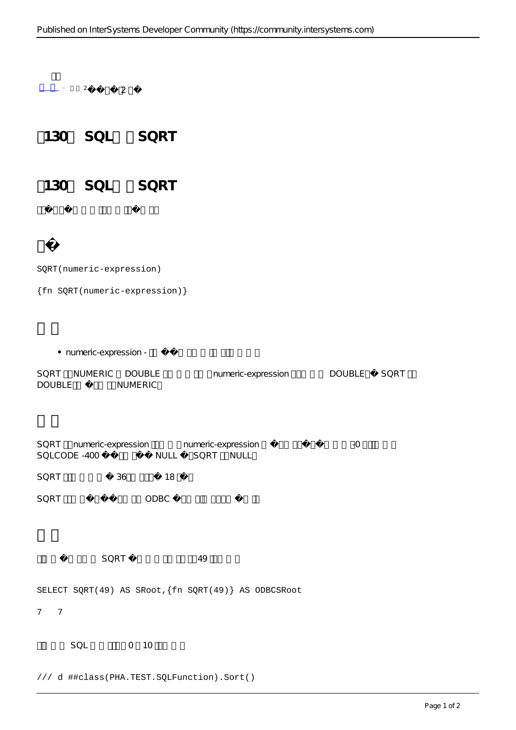$\frac{1}{2}$  ·  $\frac{2}{2}$  2

130 SQL SORT

130 SQL SQRT

SQRT(numeric-expression)

{fn SQRT(numeric-expression)}

• numeric-expression -

SQRT NUMERIC DOUBLE numeric-expression DOUBLE SQRT DOUBLE NUMERIC

SQRT numeric-expression numeric-expression 3QRT numeric-expression SQLCODE -400 NULL SQRT NULL

SQRT 36 18

SQRT ODBC

SQRT 49

SELECT SQRT(49) AS SRoot,{fn SQRT(49)} AS ODBCSRoot

7 7

 $SOL$  0 10

/// d ##class(PHA.TEST.SQLFunction).Sort()